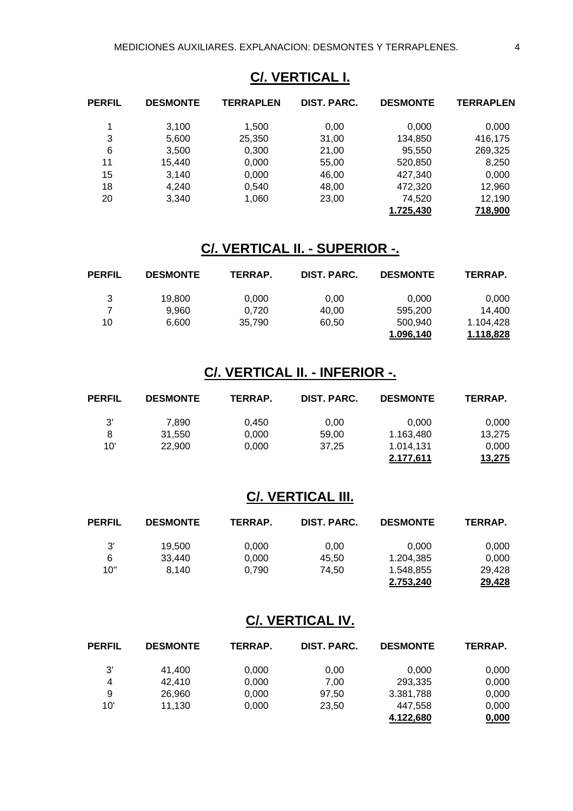### **C/. VERTICAL I.**

| <b>PERFIL</b> | <b>DESMONTE</b> | TERRAPLEN | DIST. PARC. | <b>DESMONTE</b> | <b>TERRAPLEN</b> |
|---------------|-----------------|-----------|-------------|-----------------|------------------|
|               | 3,100           | 1,500     | 0,00        | 0,000           | 0,000            |
| 3             | 5,600           | 25,350    | 31,00       | 134,850         | 416,175          |
| 6             | 3,500           | 0,300     | 21,00       | 95,550          | 269,325          |
| 11            | 15,440          | 0,000     | 55,00       | 520,850         | 8,250            |
| 15            | 3,140           | 0,000     | 46,00       | 427.340         | 0,000            |
| 18            | 4,240           | 0,540     | 48,00       | 472,320         | 12,960           |
| 20            | 3,340           | 1,060     | 23,00       | 74,520          | 12,190           |
|               |                 |           |             | 1.725,430       | 718,900          |

### **C/. VERTICAL II. - SUPERIOR -.**

| PERFIL | <b>DESMONTE</b> | TERRAP. | DIST. PARC. | <b>DESMONTE</b> | TERRAP.   |
|--------|-----------------|---------|-------------|-----------------|-----------|
| 3      | 19,800          | 0,000   | 0,00        | 0.000           | 0,000     |
|        | 9.960           | 0,720   | 40,00       | 595.200         | 14.400    |
| 10     | 6.600           | 35.790  | 60.50       | 500.940         | 1.104.428 |
|        |                 |         |             | 1.096,140       | 1.118,828 |

#### **C/. VERTICAL II. - INFERIOR -.**

| <b>PERFIL</b> | <b>DESMONTE</b> | TERRAP. | DIST. PARC. | <b>DESMONTE</b> | TERRAP. |
|---------------|-----------------|---------|-------------|-----------------|---------|
| 3'            | 7.890           | 0.450   | 0.00        | 0.000           | 0,000   |
| 8             | 31.550          | 0,000   | 59.00       | 1.163,480       | 13.275  |
| 10'           | 22,900          | 0.000   | 37.25       | 1.014.131       | 0,000   |
|               |                 |         |             | 2.177,611       | 13,275  |

### **C/. VERTICAL III.**

| <b>PERFIL</b> | <b>DESMONTE</b> | TERRAP. | DIST. PARC. | <b>DESMONTE</b> | TERRAP. |
|---------------|-----------------|---------|-------------|-----------------|---------|
| 3'            | 19.500          | 0,000   | 0.00        | 0.000           | 0,000   |
| 6             | 33.440          | 0,000   | 45.50       | 1.204,385       | 0,000   |
| 10"           | 8.140           | 0.790   | 74.50       | 1.548,855       | 29,428  |
|               |                 |         |             | 2.753,240       | 29,428  |

#### **C/. VERTICAL IV.**

| <b>PERFIL</b> | <b>DESMONTE</b> | <b>TERRAP.</b> | DIST. PARC. | <b>DESMONTE</b> | TERRAP. |
|---------------|-----------------|----------------|-------------|-----------------|---------|
| 3'            | 41,400          | 0,000          | 0.00        | 0.000           | 0,000   |
| 4             | 42,410          | 0,000          | 7,00        | 293,335         | 0,000   |
| 9             | 26,960          | 0,000          | 97.50       | 3.381,788       | 0,000   |
| 10'           | 11.130          | 0,000          | 23.50       | 447.558         | 0,000   |
|               |                 |                |             | 4.122.680       | 0,000   |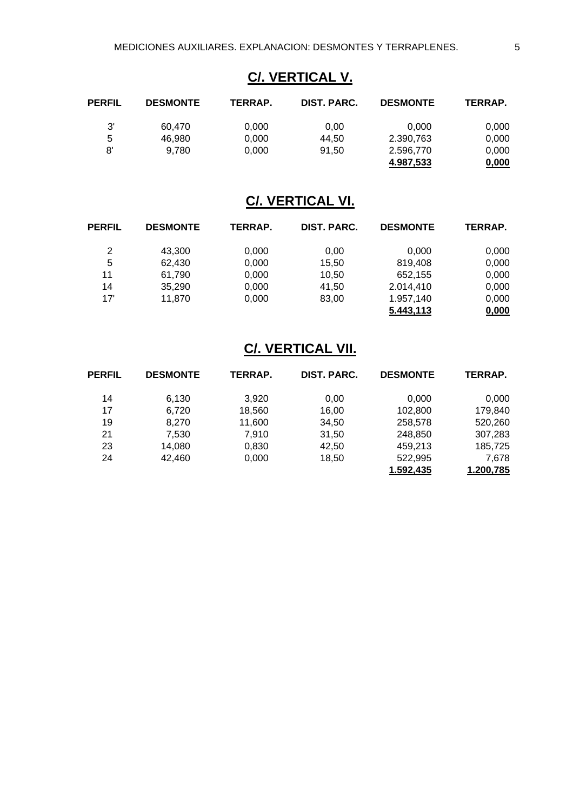## **C/. VERTICAL V.**

| PERFIL | <b>DESMONTE</b> | TERRAP. | DIST. PARC. | <b>DESMONTE</b> | TERRAP. |
|--------|-----------------|---------|-------------|-----------------|---------|
| 3'     | 60.470          | 0,000   | 0,00        | 0.000           | 0,000   |
| 5      | 46.980          | 0.000   | 44.50       | 2.390.763       | 0,000   |
| 8'     | 9.780           | 0.000   | 91.50       | 2.596,770       | 0,000   |
|        |                 |         |             | 4.987,533       | 0,000   |

# **C/. VERTICAL VI.**

| <b>PERFIL</b> | <b>DESMONTE</b> | TERRAP. | DIST. PARC. | <b>DESMONTE</b> | TERRAP. |
|---------------|-----------------|---------|-------------|-----------------|---------|
| 2             | 43,300          | 0,000   | 0.00        | 0,000           | 0,000   |
| 5             | 62.430          | 0,000   | 15.50       | 819,408         | 0,000   |
| 11            | 61,790          | 0,000   | 10,50       | 652,155         | 0,000   |
| 14            | 35,290          | 0,000   | 41,50       | 2.014,410       | 0,000   |
| 17'           | 11,870          | 0,000   | 83,00       | 1.957,140       | 0,000   |
|               |                 |         |             | 5.443,113       | 0,000   |

## **C/. VERTICAL VII.**

| <b>PERFIL</b> | <b>DESMONTE</b> | TERRAP. | <b>DIST. PARC.</b> | <b>DESMONTE</b> | TERRAP.   |
|---------------|-----------------|---------|--------------------|-----------------|-----------|
| 14            | 6,130           | 3.920   | 0,00               | 0,000           | 0.000     |
| 17            | 6,720           | 18,560  | 16,00              | 102,800         | 179,840   |
| 19            | 8,270           | 11,600  | 34,50              | 258,578         | 520,260   |
| 21            | 7,530           | 7,910   | 31,50              | 248,850         | 307,283   |
| 23            | 14,080          | 0,830   | 42,50              | 459.213         | 185,725   |
| 24            | 42,460          | 0,000   | 18,50              | 522,995         | 7.678     |
|               |                 |         |                    | 1.592.435       | 1.200,785 |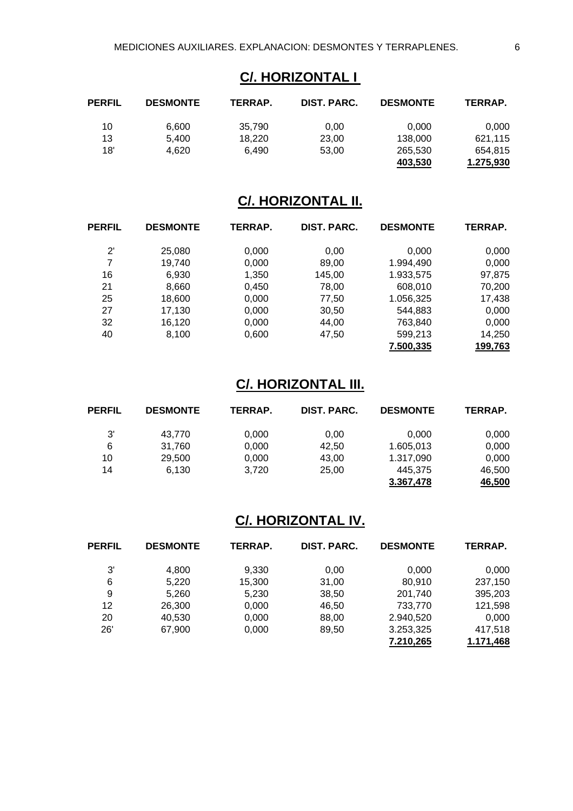### **C/. HORIZONTAL I**

| PERFIL | <b>DESMONTE</b> | TERRAP. | DIST. PARC. | <b>DESMONTE</b> | TERRAP.   |
|--------|-----------------|---------|-------------|-----------------|-----------|
| 10     | 6.600           | 35.790  | 0.00        | 0.000           | 0,000     |
| 13     | 5.400           | 18.220  | 23.00       | 138,000         | 621.115   |
| 18'    | 4.620           | 6.490   | 53.00       | 265,530         | 654.815   |
|        |                 |         |             | 403.530         | 1.275,930 |

## **C/. HORIZONTAL II.**

| <b>PERFIL</b> | <b>DESMONTE</b> | TERRAP. | <b>DIST. PARC.</b> | <b>DESMONTE</b> | TERRAP. |
|---------------|-----------------|---------|--------------------|-----------------|---------|
| $2^{\prime}$  | 25,080          | 0,000   | 0,00               | 0,000           | 0,000   |
| 7             | 19,740          | 0,000   | 89,00              | 1.994,490       | 0,000   |
| 16            | 6,930           | 1,350   | 145,00             | 1.933,575       | 97,875  |
| 21            | 8,660           | 0,450   | 78,00              | 608,010         | 70,200  |
| 25            | 18,600          | 0,000   | 77,50              | 1.056,325       | 17,438  |
| 27            | 17,130          | 0,000   | 30,50              | 544,883         | 0,000   |
| 32            | 16,120          | 0,000   | 44,00              | 763,840         | 0,000   |
| 40            | 8,100           | 0,600   | 47,50              | 599,213         | 14,250  |
|               |                 |         |                    | 7.500,335       | 199,763 |

### **C/. HORIZONTAL III.**

| <b>PERFIL</b> | <b>DESMONTE</b> | <b>TERRAP.</b> | DIST. PARC. | <b>DESMONTE</b> | TERRAP. |
|---------------|-----------------|----------------|-------------|-----------------|---------|
| 3'            | 43,770          | 0,000          | 0.00        | 0.000           | 0,000   |
| 6             | 31,760          | 0,000          | 42.50       | 1.605,013       | 0,000   |
| 10            | 29,500          | 0,000          | 43,00       | 1.317,090       | 0,000   |
| 14            | 6,130           | 3.720          | 25.00       | 445.375         | 46,500  |
|               |                 |                |             | 3.367,478       | 46,500  |

### **C/. HORIZONTAL IV.**

| <b>PERFIL</b> | <b>DESMONTE</b> | TERRAP. | DIST. PARC. | <b>DESMONTE</b> | TERRAP.   |
|---------------|-----------------|---------|-------------|-----------------|-----------|
| 3'            | 4,800           | 9,330   | 0,00        | 0,000           | 0,000     |
| 6             | 5,220           | 15,300  | 31,00       | 80,910          | 237,150   |
| 9             | 5,260           | 5,230   | 38,50       | 201,740         | 395,203   |
| 12            | 26,300          | 0,000   | 46,50       | 733,770         | 121,598   |
| 20            | 40,530          | 0,000   | 88,00       | 2.940,520       | 0.000     |
| 26'           | 67,900          | 0,000   | 89,50       | 3.253,325       | 417,518   |
|               |                 |         |             | 7.210,265       | 1.171.468 |